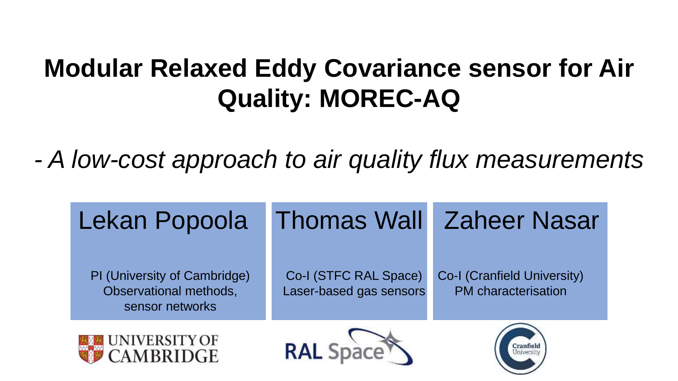# **Modular Relaxed Eddy Covariance sensor for Air Quality: MOREC-AQ**

*- A low-cost approach to air quality flux measurements*

| Lekan Popoola                                                             |                                                  | <b>Thomas Wall Zaheer Nasar</b>                           |
|---------------------------------------------------------------------------|--------------------------------------------------|-----------------------------------------------------------|
| PI (University of Cambridge)<br>Observational methods,<br>sensor networks | Co-I (STFC RAL Space)<br>Laser-based gas sensors | Co-I (Cranfield University)<br><b>PM</b> characterisation |
| <b>UNIVERSITY OF</b>                                                      | <b>RAL Spa</b>                                   |                                                           |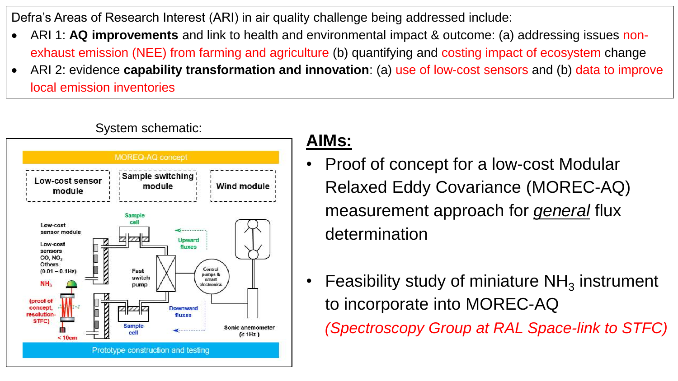Defra's Areas of Research Interest (ARI) in air quality challenge being addressed include:

- ARI 1: **AQ improvements** and link to health and environmental impact & outcome: (a) addressing issues nonexhaust emission (NEE) from farming and agriculture (b) quantifying and costing impact of ecosystem change
- ARI 2: evidence **capability transformation and innovation**: (a) use of low-cost sensors and (b) data to improve local emission inventories

#### MOREQ-AQ concept **Sample switching** Low-cost sensor Wind module module module **Sample** Low-cost sensor module Upward Low-cost fluxes sensors CO, NO<sub>2</sub> Others Control  $(0.01 - 0.1)$ Hz Fast pumps & switch smart pump electronics (proof of concept. **Downward** resolution fluxes STFC) Sampl Sonic anemometer  $(≥ 1Hz)$  $< 10c$ Prototype construction and testing

#### System schematic:

### **AIMs:**

- Proof of concept for a low-cost Modular Relaxed Eddy Covariance (MOREC-AQ) measurement approach for *general* flux determination
- Feasibility study of miniature  $NH<sub>3</sub>$  instrument to incorporate into MOREC-AQ *(Spectroscopy Group at RAL Space-link to STFC)*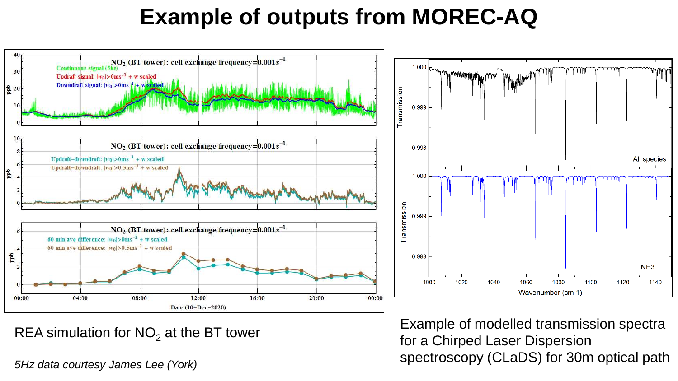### **Example of outputs from MOREC-AQ**



REA simulation for  $NO<sub>2</sub>$  at the BT tower

*5Hz data courtesy James Lee (York)*

Example of modelled transmission spectra for a Chirped Laser Dispersion spectroscopy (CLaDS) for 30m optical path